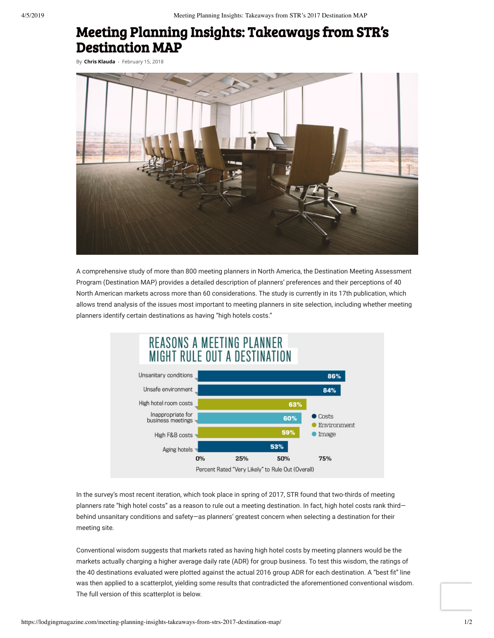## Meeting Planning Insights: Takeaways from STR's Destination MAP

By **[Chris Klauda](https://lodgingmagazine.com/author/cklauda/)** - February 15, 2018



A comprehensive study of more than 800 meeting planners in North America, the Destination Meeting Assessment Program (Destination MAP) provides a detailed description of planners' preferences and their perceptions of 40 North American markets across more than 60 considerations. The study is currently in its 17th publication, which allows trend analysis of the issues most important to meeting planners in site selection, including whether meeting planners identify certain destinations as having "high hotels costs."



In the survey's most recent iteration, which took place in spring of 2017, STR found that two-thirds of meeting planners rate "high hotel costs" as a reason to rule out a meeting destination. In fact, high hotel costs rank third behind unsanitary conditions and safety—as planners' greatest concern when selecting a destination for their meeting site.

Conventional wisdom suggests that markets rated as having high hotel costs by meeting planners would be the markets actually charging a higher average daily rate (ADR) for group business. To test this wisdom, the ratings of the 40 destinations evaluated were plotted against the actual 2016 group ADR for each destination. A "best fit" line was then applied to a scatterplot, yielding some results that contradicted the aforementioned conventional wisdom. The full version of this scatterplot is below.